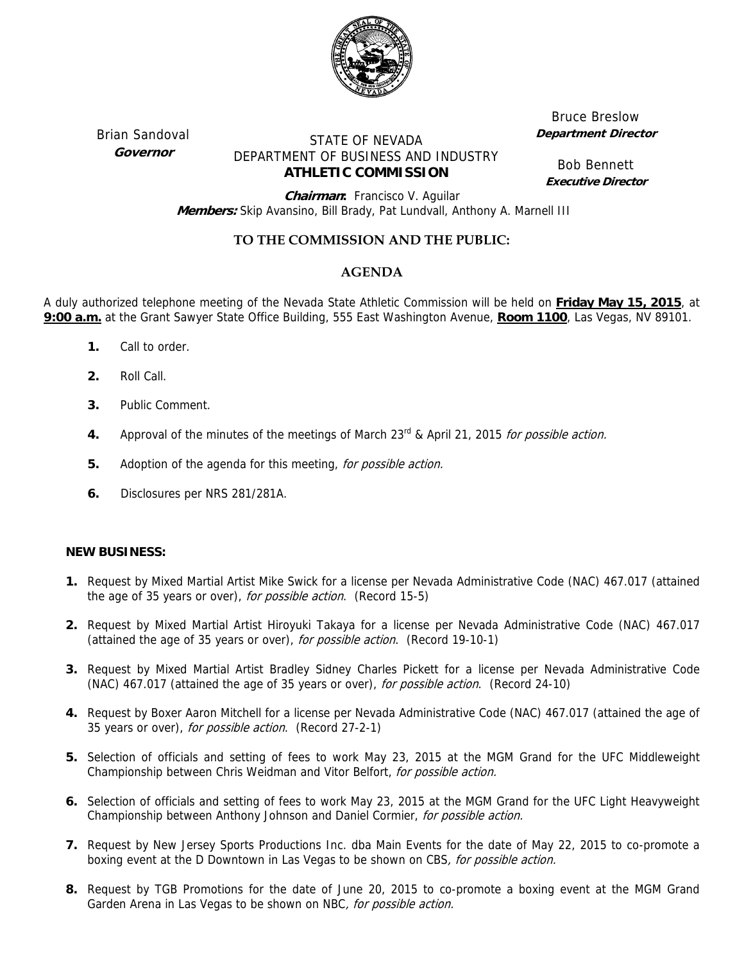

Brian Sandoval **Governor** 

# STATE OF NEVADA DEPARTMENT OF BUSINESS AND INDUSTRY **ATHLETIC COMMISSION**

Bruce Breslow **Department Director** 

Bob Bennett **Executive Director**

**Chairman:** Francisco V. Aguilar  **Members:** Skip Avansino, Bill Brady, Pat Lundvall, Anthony A. Marnell III

## **TO THE COMMISSION AND THE PUBLIC:**

## **AGENDA**

A duly authorized telephone meeting of the Nevada State Athletic Commission will be held on **Friday May 15, 2015**, at **9:00 a.m.** at the Grant Sawyer State Office Building, 555 East Washington Avenue, **Room 1100**, Las Vegas, NV 89101.

- **1.** Call to order.
- **2.** Roll Call.
- **3.** Public Comment.
- **4.** Approval of the minutes of the meetings of March 23<sup>rd</sup> & April 21, 2015 for possible action.
- **5.** Adoption of the agenda for this meeting, for possible action.
- **6.** Disclosures per NRS 281/281A.

### **NEW BUSINESS:**

- **1.** Request by Mixed Martial Artist Mike Swick for a license per Nevada Administrative Code (NAC) 467.017 (attained the age of 35 years or over), for possible action. (Record 15-5)
- **2.** Request by Mixed Martial Artist Hiroyuki Takaya for a license per Nevada Administrative Code (NAC) 467.017 (attained the age of 35 years or over), for possible action. (Record 19-10-1)
- **3.** Request by Mixed Martial Artist Bradley Sidney Charles Pickett for a license per Nevada Administrative Code (NAC) 467.017 (attained the age of 35 years or over), for possible action. (Record 24-10)
- **4.** Request by Boxer Aaron Mitchell for a license per Nevada Administrative Code (NAC) 467.017 (attained the age of 35 years or over), for possible action. (Record 27-2-1)
- **5.** Selection of officials and setting of fees to work May 23, 2015 at the MGM Grand for the UFC Middleweight Championship between Chris Weidman and Vitor Belfort, for possible action.
- **6.** Selection of officials and setting of fees to work May 23, 2015 at the MGM Grand for the UFC Light Heavyweight Championship between Anthony Johnson and Daniel Cormier, for possible action.
- **7.** Request by New Jersey Sports Productions Inc. dba Main Events for the date of May 22, 2015 to co-promote a boxing event at the D Downtown in Las Vegas to be shown on CBS, for possible action.
- **8.** Request by TGB Promotions for the date of June 20, 2015 to co-promote a boxing event at the MGM Grand Garden Arena in Las Vegas to be shown on NBC, for possible action.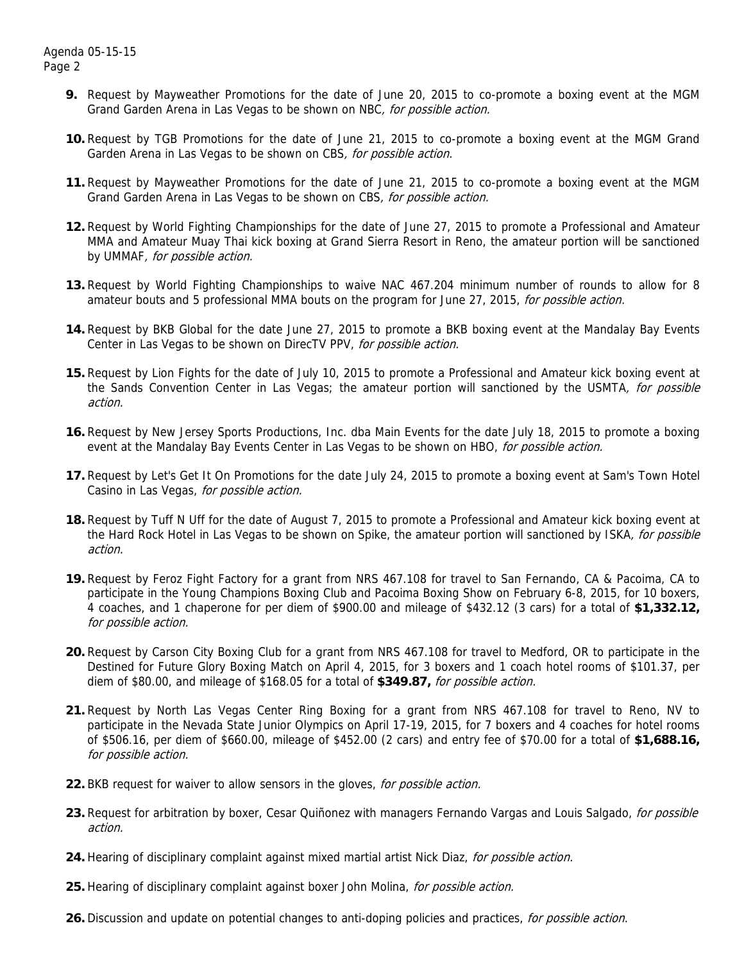- **9.** Request by Mayweather Promotions for the date of June 20, 2015 to co-promote a boxing event at the MGM Grand Garden Arena in Las Vegas to be shown on NBC, for possible action.
- **10.** Request by TGB Promotions for the date of June 21, 2015 to co-promote a boxing event at the MGM Grand Garden Arena in Las Vegas to be shown on CBS, for possible action.
- **11.** Request by Mayweather Promotions for the date of June 21, 2015 to co-promote a boxing event at the MGM Grand Garden Arena in Las Vegas to be shown on CBS, for possible action.
- **12.** Request by World Fighting Championships for the date of June 27, 2015 to promote a Professional and Amateur MMA and Amateur Muay Thai kick boxing at Grand Sierra Resort in Reno, the amateur portion will be sanctioned by UMMAF, for possible action.
- **13.** Request by World Fighting Championships to waive NAC 467.204 minimum number of rounds to allow for 8 amateur bouts and 5 professional MMA bouts on the program for June 27, 2015, for possible action.
- **14.** Request by BKB Global for the date June 27, 2015 to promote a BKB boxing event at the Mandalay Bay Events Center in Las Vegas to be shown on DirecTV PPV, for possible action.
- **15.** Request by Lion Fights for the date of July 10, 2015 to promote a Professional and Amateur kick boxing event at the Sands Convention Center in Las Vegas; the amateur portion will sanctioned by the USMTA, for possible action.
- **16.** Request by New Jersey Sports Productions, Inc. dba Main Events for the date July 18, 2015 to promote a boxing event at the Mandalay Bay Events Center in Las Vegas to be shown on HBO, for possible action.
- **17.** Request by Let's Get It On Promotions for the date July 24, 2015 to promote a boxing event at Sam's Town Hotel Casino in Las Vegas, for possible action.
- **18.** Request by Tuff N Uff for the date of August 7, 2015 to promote a Professional and Amateur kick boxing event at the Hard Rock Hotel in Las Vegas to be shown on Spike, the amateur portion will sanctioned by ISKA, for possible action.
- **19.** Request by Feroz Fight Factory for a grant from NRS 467.108 for travel to San Fernando, CA & Pacoima, CA to participate in the Young Champions Boxing Club and Pacoima Boxing Show on February 6-8, 2015, for 10 boxers, 4 coaches, and 1 chaperone for per diem of \$900.00 and mileage of \$432.12 (3 cars) for a total of **\$1,332.12,** for possible action.
- **20.** Request by Carson City Boxing Club for a grant from NRS 467.108 for travel to Medford, OR to participate in the Destined for Future Glory Boxing Match on April 4, 2015, for 3 boxers and 1 coach hotel rooms of \$101.37, per diem of \$80.00, and mileage of \$168.05 for a total of **\$349.87,** for possible action.
- **21.** Request by North Las Vegas Center Ring Boxing for a grant from NRS 467.108 for travel to Reno, NV to participate in the Nevada State Junior Olympics on April 17-19, 2015, for 7 boxers and 4 coaches for hotel rooms of \$506.16, per diem of \$660.00, mileage of \$452.00 (2 cars) and entry fee of \$70.00 for a total of **\$1,688.16,** for possible action.
- **22.** BKB request for waiver to allow sensors in the gloves, for possible action.
- 23. Request for arbitration by boxer, Cesar Quiñonez with managers Fernando Vargas and Louis Salgado, *for possible* action.
- 24. Hearing of disciplinary complaint against mixed martial artist Nick Diaz, for possible action.
- **25.** Hearing of disciplinary complaint against boxer John Molina, for possible action.
- **26.** Discussion and update on potential changes to anti-doping policies and practices, for possible action.